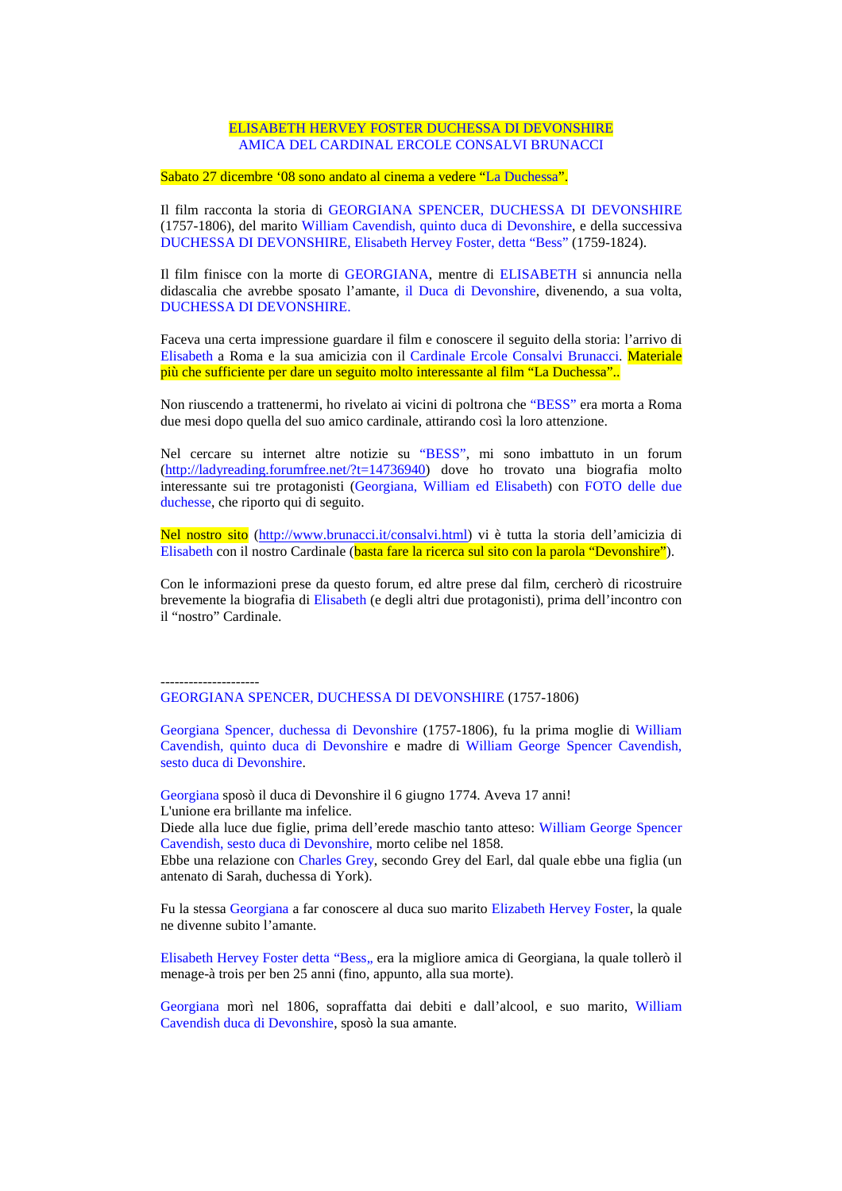#### ELISABETH HERVEY FOSTER DUCHESSA DI DEVONSHIRE AMICA DEL CARDINAL ERCOLE CONSALVI BRUNACCI

Sabato 27 dicembre '08 sono andato al cinema a vedere "La Duchessa".

Il film racconta la storia di GEORGIANA SPENCER, DUCHESSA DI DEVONSHIRE (1757-1806), del marito William Cavendish, quinto duca di Devonshire, e della successiva DUCHESSA DI DEVONSHIRE, Elisabeth Hervey Foster, detta "Bess" (1759-1824).

Il film finisce con la morte di GEORGIANA, mentre di ELISABETH si annuncia nella didascalia che avrebbe sposato l'amante, il Duca di Devonshire, divenendo, a sua volta, DUCHESSA DI DEVONSHIRE.

Faceva una certa impressione guardare il film e conoscere il seguito della storia: l'arrivo di Elisabeth a Roma e la sua amicizia con il Cardinale Ercole Consalvi Brunacci. Materiale più che sufficiente per dare un seguito molto interessante al film "La Duchessa"..

Non riuscendo a trattenermi, ho rivelato ai vicini di poltrona che "BESS" era morta a Roma due mesi dopo quella del suo amico cardinale, attirando così la loro attenzione.

Nel cercare su internet altre notizie su "BESS", mi sono imbattuto in un forum (http://ladyreading.forumfree.net/?t=14736940) dove ho trovato una biografia molto interessante sui tre protagonisti (Georgiana, William ed Elisabeth) con FOTO delle due duchesse, che riporto qui di seguito.

Nel nostro sito (http://www.brunacci.it/consalvi.html) vi è tutta la storia dell'amicizia di Elisabeth con il nostro Cardinale (basta fare la ricerca sul sito con la parola "Devonshire").

Con le informazioni prese da questo forum, ed altre prese dal film, cercherò di ricostruire brevemente la biografia di Elisabeth (e degli altri due protagonisti), prima dell'incontro con il "nostro" Cardinale.

--------------------- GEORGIANA SPENCER, DUCHESSA DI DEVONSHIRE (1757-1806)

Georgiana Spencer, duchessa di Devonshire (1757-1806), fu la prima moglie di William Cavendish, quinto duca di Devonshire e madre di William George Spencer Cavendish, sesto duca di Devonshire.

Georgiana sposò il duca di Devonshire il 6 giugno 1774. Aveva 17 anni! L'unione era brillante ma infelice.

Diede alla luce due figlie, prima dell'erede maschio tanto atteso: William George Spencer Cavendish, sesto duca di Devonshire, morto celibe nel 1858.

Ebbe una relazione con Charles Grey, secondo Grey del Earl, dal quale ebbe una figlia (un antenato di Sarah, duchessa di York).

Fu la stessa Georgiana a far conoscere al duca suo marito Elizabeth Hervey Foster, la quale ne divenne subito l'amante.

Elisabeth Hervey Foster detta "Bess,, era la migliore amica di Georgiana, la quale tollerò il menage-à trois per ben 25 anni (fino, appunto, alla sua morte).

Georgiana morì nel 1806, sopraffatta dai debiti e dall'alcool, e suo marito, William Cavendish duca di Devonshire, sposò la sua amante.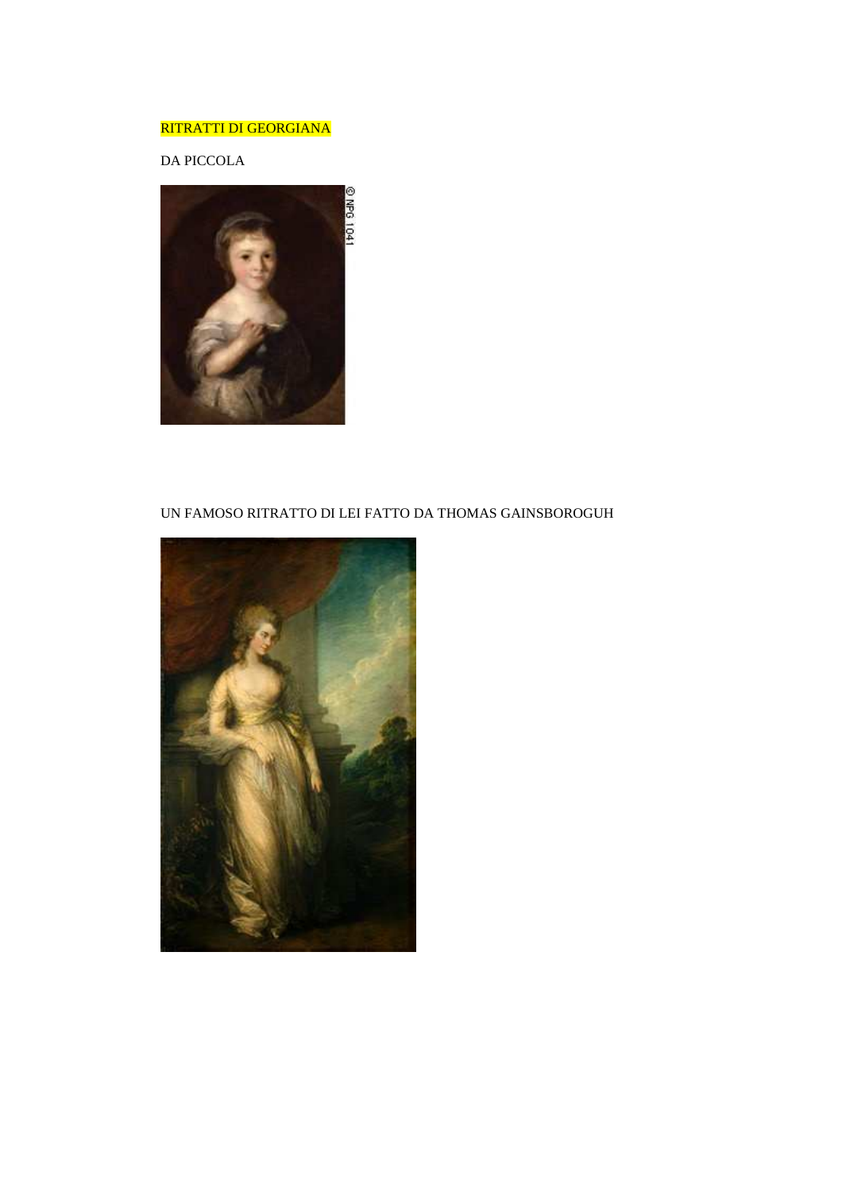# RITRATTI DI GEORGIANA

DA PICCOLA



### UN FAMOSO RITRATTO DI LEI FATTO DA THOMAS GAINSBOROGUH

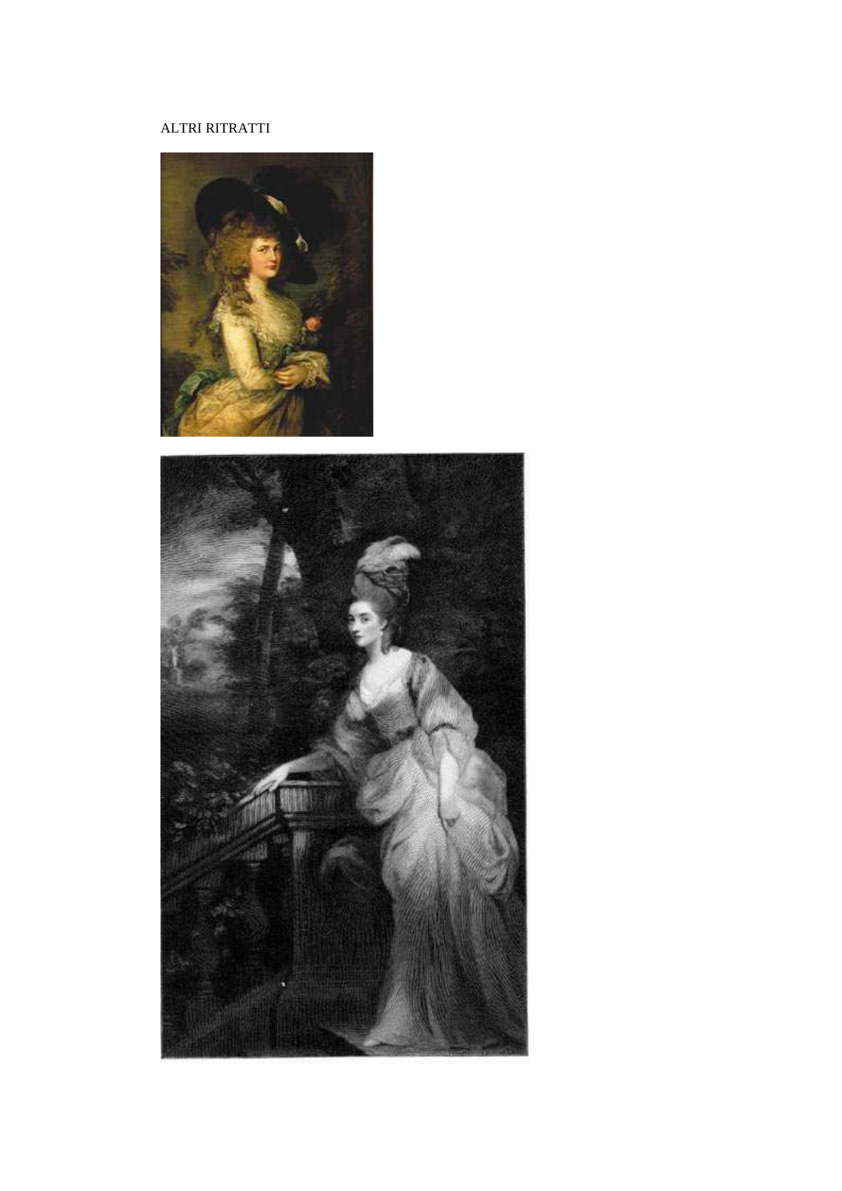# ALTRI RITRATTI



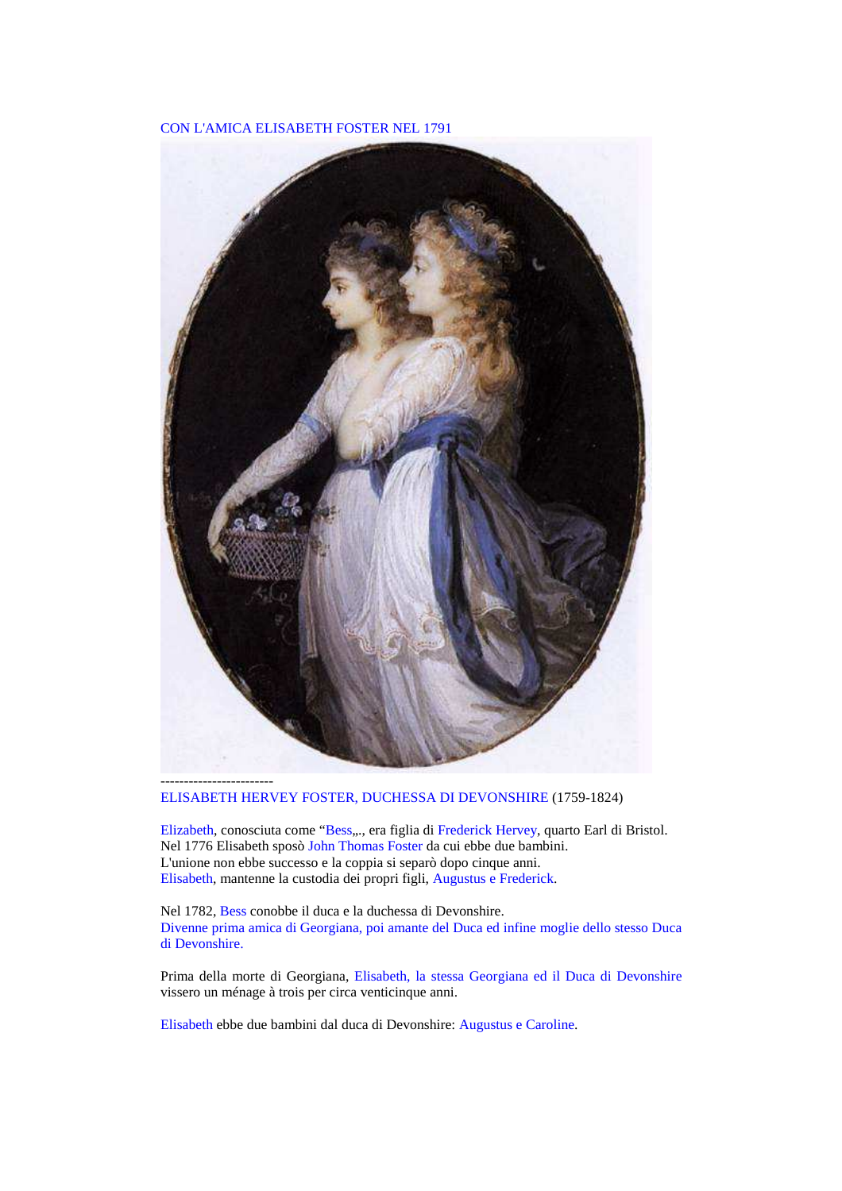#### CON L'AMICA ELISABETH FOSTER NEL 1791



ELISABETH HERVEY FOSTER, DUCHESSA DI DEVONSHIRE (1759-1824)

Elizabeth, conosciuta come "Bess,.., era figlia di Frederick Hervey, quarto Earl di Bristol. Nel 1776 Elisabeth sposò John Thomas Foster da cui ebbe due bambini. L'unione non ebbe successo e la coppia si separò dopo cinque anni. Elisabeth, mantenne la custodia dei propri figli, Augustus e Frederick.

Nel 1782, Bess conobbe il duca e la duchessa di Devonshire. Divenne prima amica di Georgiana, poi amante del Duca ed infine moglie dello stesso Duca di Devonshire.

Prima della morte di Georgiana, Elisabeth, la stessa Georgiana ed il Duca di Devonshire vissero un ménage à trois per circa venticinque anni.

Elisabeth ebbe due bambini dal duca di Devonshire: Augustus e Caroline.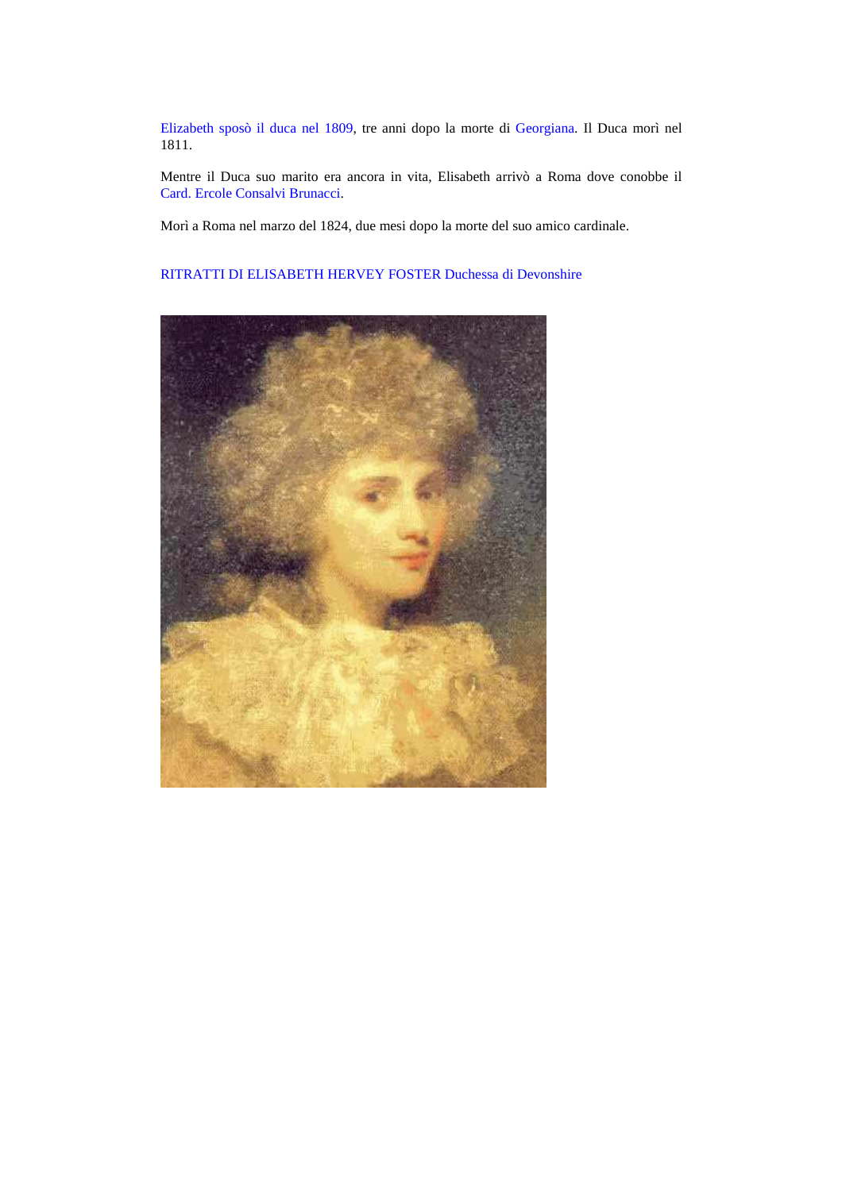Elizabeth sposò il duca nel 1809, tre anni dopo la morte di Georgiana. Il Duca morì nel 1811.

Mentre il Duca suo marito era ancora in vita, Elisabeth arrivò a Roma dove conobbe il Card. Ercole Consalvi Brunacci.

Morì a Roma nel marzo del 1824, due mesi dopo la morte del suo amico cardinale.

### RITRATTI DI ELISABETH HERVEY FOSTER Duchessa di Devonshire